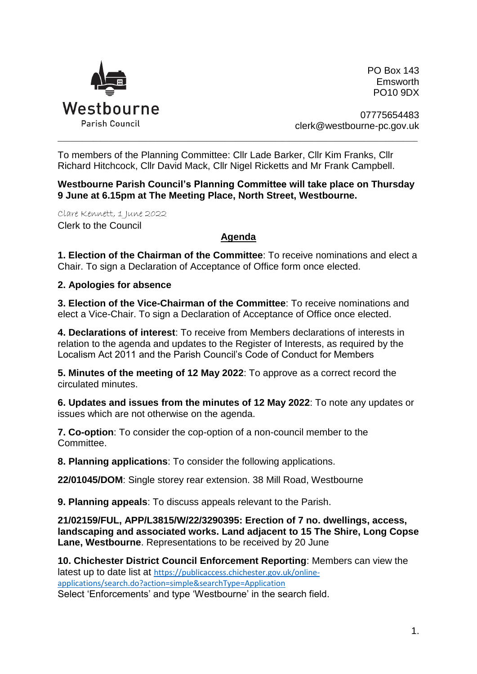

PO Box 143 Emsworth PO10 9DX

07775654483 clerk@westbourne-pc.gov.uk

To members of the Planning Committee: Cllr Lade Barker, Cllr Kim Franks, Cllr Richard Hitchcock, Cllr David Mack, Cllr Nigel Ricketts and Mr Frank Campbell.

**Westbourne Parish Council's Planning Committee will take place on Thursday 9 June at 6.15pm at The Meeting Place, North Street, Westbourne.** 

\_\_\_\_\_\_\_\_\_\_\_\_\_\_\_\_\_\_\_\_\_\_\_\_\_\_\_\_\_\_\_\_\_\_\_\_\_\_\_\_\_\_\_\_\_\_\_\_\_\_\_\_\_\_\_\_\_\_\_\_\_\_\_\_\_\_\_\_\_\_\_\_\_\_\_\_\_\_\_\_\_\_\_\_\_\_\_\_\_\_\_\_\_\_\_\_\_\_\_\_\_

Clare Kennett, 1 June 2022 Clerk to the Council

## **Agenda**

**1. Election of the Chairman of the Committee**: To receive nominations and elect a Chair. To sign a Declaration of Acceptance of Office form once elected.

## **2. Apologies for absence**

**3. Election of the Vice-Chairman of the Committee**: To receive nominations and elect a Vice-Chair. To sign a Declaration of Acceptance of Office once elected.

**4. Declarations of interest**: To receive from Members declarations of interests in relation to the agenda and updates to the Register of Interests, as required by the Localism Act 2011 and the Parish Council's Code of Conduct for Members

**5. Minutes of the meeting of 12 May 2022**: To approve as a correct record the circulated minutes.

**6. Updates and issues from the minutes of 12 May 2022**: To note any updates or issues which are not otherwise on the agenda.

**7. Co-option**: To consider the cop-option of a non-council member to the Committee.

**8. Planning applications**: To consider the following applications.

**22/01045/DOM**: Single storey rear extension. 38 Mill Road, Westbourne

**9. Planning appeals**: To discuss appeals relevant to the Parish.

**21/02159/FUL, APP/L3815/W/22/3290395: Erection of 7 no. dwellings, access, landscaping and associated works. Land adjacent to 15 The Shire, Long Copse Lane, Westbourne**. Representations to be received by 20 June

**10. Chichester District Council Enforcement Reporting**: Members can view the latest up to date list at [https://publicaccess.chichester.gov.uk/online](https://publicaccess.chichester.gov.uk/online-applications/search.do?action=simple&searchType=Application)[applications/search.do?action=simple&searchType=Application](https://publicaccess.chichester.gov.uk/online-applications/search.do?action=simple&searchType=Application)

Select 'Enforcements' and type 'Westbourne' in the search field.